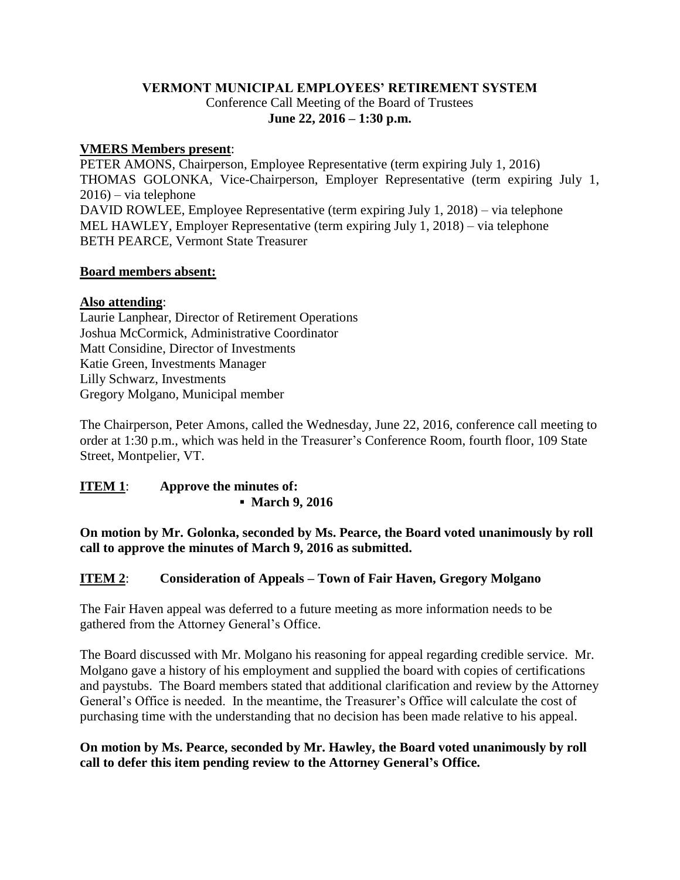## **VERMONT MUNICIPAL EMPLOYEES' RETIREMENT SYSTEM** Conference Call Meeting of the Board of Trustees **June 22, 2016 – 1:30 p.m.**

### **VMERS Members present**:

PETER AMONS, Chairperson, Employee Representative (term expiring July 1, 2016) THOMAS GOLONKA, Vice-Chairperson, Employer Representative (term expiring July 1, 2016) – via telephone DAVID ROWLEE, Employee Representative (term expiring July 1, 2018) – via telephone MEL HAWLEY, Employer Representative (term expiring July 1, 2018) – via telephone BETH PEARCE, Vermont State Treasurer

#### **Board members absent:**

#### **Also attending**:

Laurie Lanphear, Director of Retirement Operations Joshua McCormick, Administrative Coordinator Matt Considine, Director of Investments Katie Green, Investments Manager Lilly Schwarz, Investments Gregory Molgano, Municipal member

The Chairperson, Peter Amons, called the Wednesday, June 22, 2016, conference call meeting to order at 1:30 p.m., which was held in the Treasurer's Conference Room, fourth floor, 109 State Street, Montpelier, VT.

#### **ITEM 1**: **Approve the minutes of: ▪ March 9, 2016**

**On motion by Mr. Golonka, seconded by Ms. Pearce, the Board voted unanimously by roll call to approve the minutes of March 9, 2016 as submitted.**

### **ITEM 2**: **Consideration of Appeals – Town of Fair Haven, Gregory Molgano**

The Fair Haven appeal was deferred to a future meeting as more information needs to be gathered from the Attorney General's Office.

The Board discussed with Mr. Molgano his reasoning for appeal regarding credible service. Mr. Molgano gave a history of his employment and supplied the board with copies of certifications and paystubs. The Board members stated that additional clarification and review by the Attorney General's Office is needed. In the meantime, the Treasurer's Office will calculate the cost of purchasing time with the understanding that no decision has been made relative to his appeal.

#### **On motion by Ms. Pearce, seconded by Mr. Hawley, the Board voted unanimously by roll call to defer this item pending review to the Attorney General's Office.**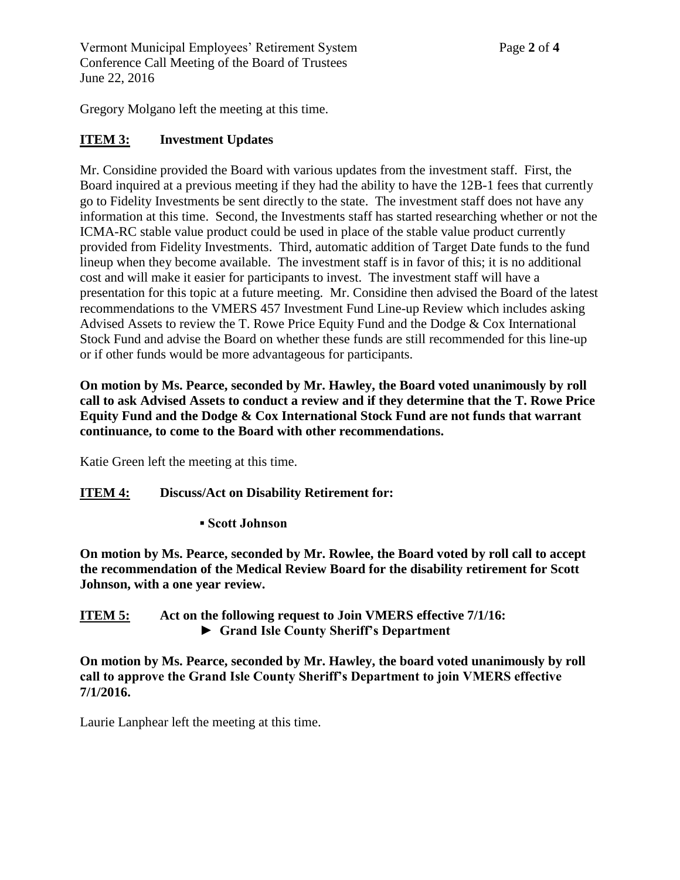Vermont Municipal Employees' Retirement System Page **2** of **4** Conference Call Meeting of the Board of Trustees June 22, 2016

Gregory Molgano left the meeting at this time.

### **ITEM 3: Investment Updates**

Mr. Considine provided the Board with various updates from the investment staff. First, the Board inquired at a previous meeting if they had the ability to have the 12B-1 fees that currently go to Fidelity Investments be sent directly to the state. The investment staff does not have any information at this time. Second, the Investments staff has started researching whether or not the ICMA-RC stable value product could be used in place of the stable value product currently provided from Fidelity Investments. Third, automatic addition of Target Date funds to the fund lineup when they become available. The investment staff is in favor of this; it is no additional cost and will make it easier for participants to invest. The investment staff will have a presentation for this topic at a future meeting. Mr. Considine then advised the Board of the latest recommendations to the VMERS 457 Investment Fund Line-up Review which includes asking Advised Assets to review the T. Rowe Price Equity Fund and the Dodge & Cox International Stock Fund and advise the Board on whether these funds are still recommended for this line-up or if other funds would be more advantageous for participants.

**On motion by Ms. Pearce, seconded by Mr. Hawley, the Board voted unanimously by roll call to ask Advised Assets to conduct a review and if they determine that the T. Rowe Price Equity Fund and the Dodge & Cox International Stock Fund are not funds that warrant continuance, to come to the Board with other recommendations.**

Katie Green left the meeting at this time.

#### **ITEM 4: Discuss/Act on Disability Retirement for:**

**▪ Scott Johnson**

**On motion by Ms. Pearce, seconded by Mr. Rowlee, the Board voted by roll call to accept the recommendation of the Medical Review Board for the disability retirement for Scott Johnson, with a one year review.** 

**ITEM 5: Act on the following request to Join VMERS effective 7/1/16: ► Grand Isle County Sheriff's Department**

**On motion by Ms. Pearce, seconded by Mr. Hawley, the board voted unanimously by roll call to approve the Grand Isle County Sheriff's Department to join VMERS effective 7/1/2016.**

Laurie Lanphear left the meeting at this time.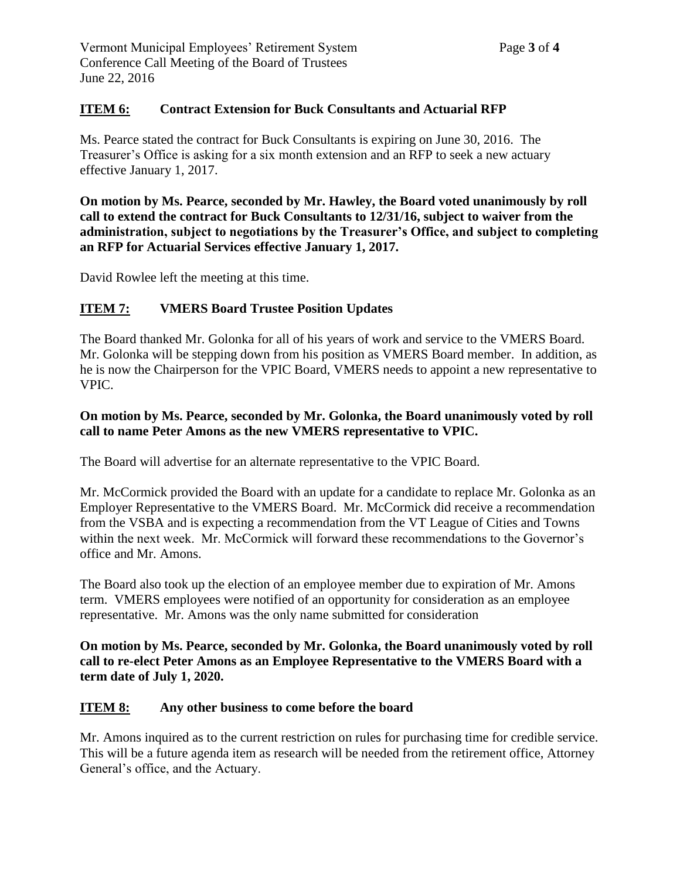### **ITEM 6: Contract Extension for Buck Consultants and Actuarial RFP**

Ms. Pearce stated the contract for Buck Consultants is expiring on June 30, 2016. The Treasurer's Office is asking for a six month extension and an RFP to seek a new actuary effective January 1, 2017.

**On motion by Ms. Pearce, seconded by Mr. Hawley, the Board voted unanimously by roll call to extend the contract for Buck Consultants to 12/31/16, subject to waiver from the administration, subject to negotiations by the Treasurer's Office, and subject to completing an RFP for Actuarial Services effective January 1, 2017.**

David Rowlee left the meeting at this time.

## **ITEM 7: VMERS Board Trustee Position Updates**

The Board thanked Mr. Golonka for all of his years of work and service to the VMERS Board. Mr. Golonka will be stepping down from his position as VMERS Board member. In addition, as he is now the Chairperson for the VPIC Board, VMERS needs to appoint a new representative to VPIC.

## **On motion by Ms. Pearce, seconded by Mr. Golonka, the Board unanimously voted by roll call to name Peter Amons as the new VMERS representative to VPIC.**

The Board will advertise for an alternate representative to the VPIC Board.

Mr. McCormick provided the Board with an update for a candidate to replace Mr. Golonka as an Employer Representative to the VMERS Board. Mr. McCormick did receive a recommendation from the VSBA and is expecting a recommendation from the VT League of Cities and Towns within the next week. Mr. McCormick will forward these recommendations to the Governor's office and Mr. Amons.

The Board also took up the election of an employee member due to expiration of Mr. Amons term. VMERS employees were notified of an opportunity for consideration as an employee representative. Mr. Amons was the only name submitted for consideration

**On motion by Ms. Pearce, seconded by Mr. Golonka, the Board unanimously voted by roll call to re-elect Peter Amons as an Employee Representative to the VMERS Board with a term date of July 1, 2020.**

#### **ITEM 8: Any other business to come before the board**

Mr. Amons inquired as to the current restriction on rules for purchasing time for credible service. This will be a future agenda item as research will be needed from the retirement office, Attorney General's office, and the Actuary.